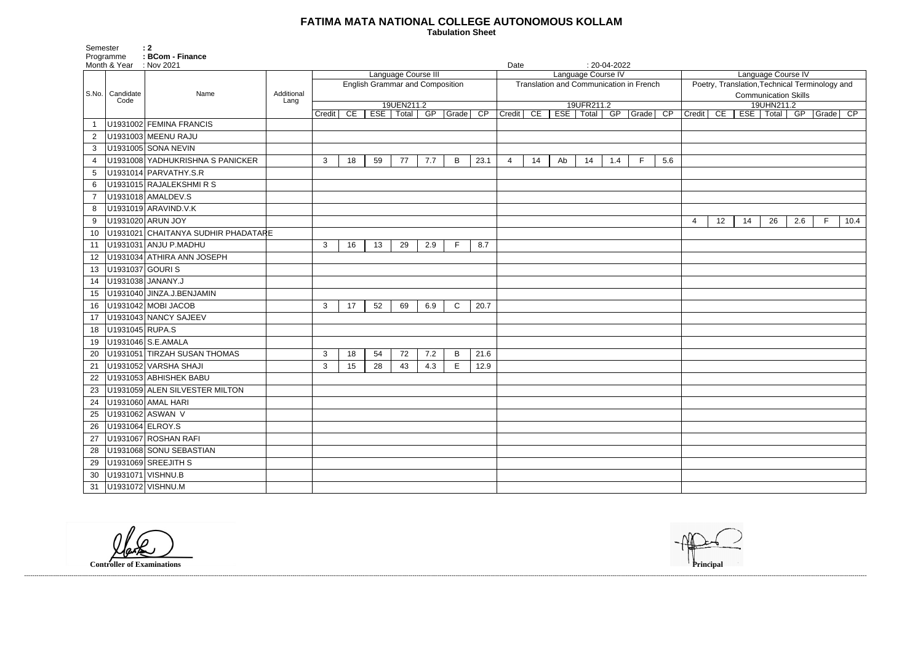## **FATIMA MATA NATIONAL COLLEGE AUTONOMOUS KOLLAM**

 **Tabulation Sheet** 

| Language Course IV                             |    |     |       |     |             |      |  |  |  |  |  |  |  |
|------------------------------------------------|----|-----|-------|-----|-------------|------|--|--|--|--|--|--|--|
| Poetry, Translation, Technical Terminology and |    |     |       |     |             |      |  |  |  |  |  |  |  |
| <b>Communication Skills</b>                    |    |     |       |     |             |      |  |  |  |  |  |  |  |
| 19UHN211.2                                     |    |     |       |     |             |      |  |  |  |  |  |  |  |
| Credit                                         | CE | ESE | Total | GP  | Grade       | CP   |  |  |  |  |  |  |  |
|                                                |    |     |       |     |             |      |  |  |  |  |  |  |  |
|                                                |    |     |       |     |             |      |  |  |  |  |  |  |  |
|                                                |    |     |       |     |             |      |  |  |  |  |  |  |  |
|                                                |    |     |       |     |             |      |  |  |  |  |  |  |  |
|                                                |    |     |       |     |             |      |  |  |  |  |  |  |  |
|                                                |    |     |       |     |             |      |  |  |  |  |  |  |  |
|                                                |    |     |       |     |             |      |  |  |  |  |  |  |  |
|                                                |    |     |       |     |             |      |  |  |  |  |  |  |  |
|                                                |    |     |       |     |             |      |  |  |  |  |  |  |  |
| $\overline{\mathbf{4}}$                        | 12 | 14  | 26    | 2.6 | $\mathsf F$ | 10.4 |  |  |  |  |  |  |  |
|                                                |    |     |       |     |             |      |  |  |  |  |  |  |  |
|                                                |    |     |       |     |             |      |  |  |  |  |  |  |  |
|                                                |    |     |       |     |             |      |  |  |  |  |  |  |  |
|                                                |    |     |       |     |             |      |  |  |  |  |  |  |  |
|                                                |    |     |       |     |             |      |  |  |  |  |  |  |  |
|                                                |    |     |       |     |             |      |  |  |  |  |  |  |  |
|                                                |    |     |       |     |             |      |  |  |  |  |  |  |  |
|                                                |    |     |       |     |             |      |  |  |  |  |  |  |  |
|                                                |    |     |       |     |             |      |  |  |  |  |  |  |  |
|                                                |    |     |       |     |             |      |  |  |  |  |  |  |  |
|                                                |    |     |       |     |             |      |  |  |  |  |  |  |  |
|                                                |    |     |       |     |             |      |  |  |  |  |  |  |  |
|                                                |    |     |       |     |             |      |  |  |  |  |  |  |  |
|                                                |    |     |       |     |             |      |  |  |  |  |  |  |  |
|                                                |    |     |       |     |             |      |  |  |  |  |  |  |  |
|                                                |    |     |       |     |             |      |  |  |  |  |  |  |  |
|                                                |    |     |       |     |             |      |  |  |  |  |  |  |  |
|                                                |    |     |       |     |             |      |  |  |  |  |  |  |  |
|                                                |    |     |       |     |             |      |  |  |  |  |  |  |  |
|                                                |    |     |       |     |             |      |  |  |  |  |  |  |  |
|                                                |    |     |       |     |             |      |  |  |  |  |  |  |  |
|                                                |    |     |       |     |             |      |  |  |  |  |  |  |  |
|                                                |    |     |       |     |             |      |  |  |  |  |  |  |  |
|                                                |    |     |       |     |             |      |  |  |  |  |  |  |  |
|                                                |    |     |       |     |             |      |  |  |  |  |  |  |  |
|                                                |    |     |       |     |             |      |  |  |  |  |  |  |  |





Programme : **BCom - Finance** Month & Year : Nov 2021 **Date** : 20-04-2022 S.No. Candidate Code Name **Additional Lang** Language Course III English Grammar and Composition 19UEN211.2 Credit | CE | ESE | Total | GP | Grade | CP | Credit | CE | ESE | Total | GP | Grade | CP Language Course IV Translation and Communication in French 19UFR211.2 1 U1931002 FEMINA FRANCIS 2 U1931003 MEENU RAJU 3 | U1931005 SONA NEVIN 4 |U1931008 YADHUKRISHNA S PANICKER | | 3 | 18 | 59 | 77 | 7.7 | B | 23.1 | 4 | 14 | Ab | 14 | 1.4 | F | 5.6 5 U1931014 PARVATHY.S.R 6 U1931015 RAJALEKSHMI R S 7 U1931018 AMALDEV.S 8 U1931019 ARAVIND.V.K 9 U1931020 ARUN JOY 4 12 14 26 2.6 F 10.4 10 U1931021 CHAITANYA SUDHIR PHADATARE 11 |U1931031 | ANJU P.MADHU | | | | | | | | | | 16 | 13 | 29 | 2.9 | F | 8.7 12 U1931034 ATHIRA ANN JOSEPH 13 U1931037 GOURI S 14 U1931038 JANANY.J 15 U1931040 JINZA.J.BENJAMIN 16 U1931042 MOBI JACOB 3 17 52 69 6.9 C 20.7 17 U1931043 NANCY SAJEEV 18 U1931045 RUPA.S 19 U1931046 S.E.AMALA 20 U1931051 TIRZAH SUSAN THOMAS 3 3 18 54 72 7.2 B 21.6 21 U1931052 VARSHA SHAJI 3 15 28 43 4.3 E 12.9 22 U1931053 ABHISHEK BABU 23 | U1931059 ALEN SILVESTER MILTON 24 U1931060 AMAL HARI 25 U1931062 ASWAN V 26 U1931064 ELROY.S 27 U1931067 ROSHAN RAFI 28 | U1931068 SONU SEBASTIAN 29 U1931069 SREEJITH S 30 U1931071 VISHNU.B 31 U1931072 VISHNU.M

Semester : 2

**Controller of Examinations Principal**



------------------------------------------------------------------------------------------------------------------------------------------------------------------------------------------------------------------------------------------------------------------------------------------------------------------------------------------------------------------------------------------------------------------------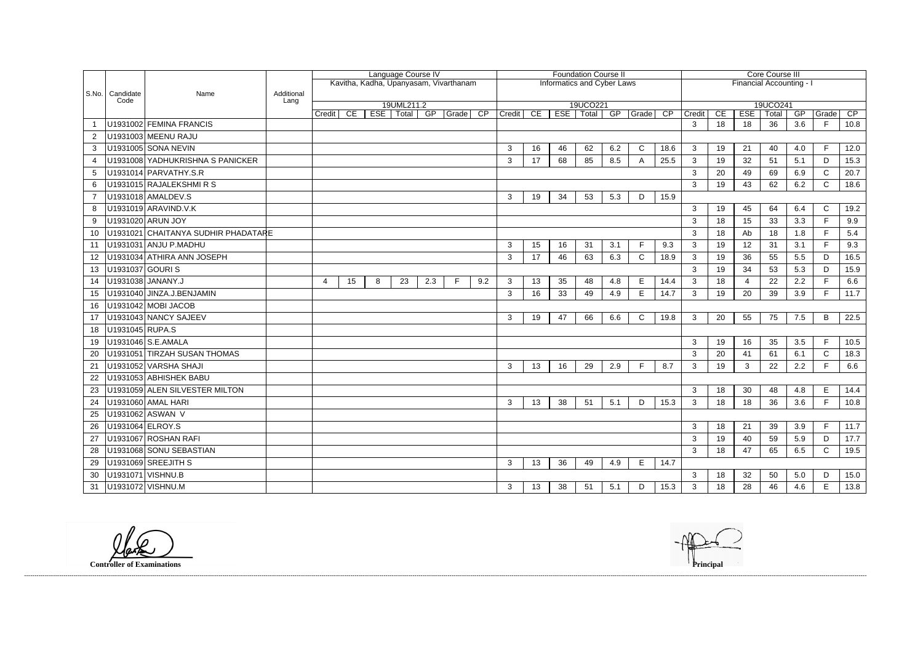|                       |                           |                                     |            | Language Course IV                     |    |            |       |     | <b>Foundation Course II</b> |                                   |                |          |    |             |     |              | Core Course III |                          |          |                          |             |           |              |            |
|-----------------------|---------------------------|-------------------------------------|------------|----------------------------------------|----|------------|-------|-----|-----------------------------|-----------------------------------|----------------|----------|----|-------------|-----|--------------|-----------------|--------------------------|----------|--------------------------|-------------|-----------|--------------|------------|
|                       |                           |                                     |            | Kavitha, Kadha, Upanyasam, Vivarthanam |    |            |       |     |                             | <b>Informatics and Cyber Laws</b> |                |          |    |             |     |              |                 | Financial Accounting - I |          |                          |             |           |              |            |
|                       | S.No.   Candidate<br>Code | Name                                | Additional |                                        |    |            |       |     |                             |                                   |                |          |    |             |     |              |                 |                          |          |                          |             |           |              |            |
|                       |                           |                                     | Lang       | 19UML211.2                             |    |            |       |     |                             |                                   |                | 19UCO221 |    |             |     |              |                 |                          | 19UCO241 |                          |             |           |              |            |
|                       |                           | U1931002 FEMINA FRANCIS             |            | <b>Credit</b>                          | CE | <b>ESE</b> | Total | GP  | Grade CP                    |                                   | Credit         | CE       |    | ESE   Total | GP  | Grade        | $\overline{CP}$ | Credit<br>3              | CE<br>18 | <b>ESE</b><br>18         | Total<br>36 | GP<br>3.6 | Grade<br>F   | CP<br>10.8 |
|                       |                           | U1931003 MEENU RAJU                 |            |                                        |    |            |       |     |                             |                                   |                |          |    |             |     |              |                 |                          |          |                          |             |           |              |            |
| $\overline{2}$<br>3   |                           | U1931005 SONA NEVIN                 |            |                                        |    |            |       |     |                             |                                   | 3              | 16       | 46 | 62          | 6.2 | $\mathsf{C}$ | 18.6            | $\mathbf{3}$             | 19       | 21                       | 40          | 4.0       | F            | 12.0       |
| $\boldsymbol{\Delta}$ |                           | U1931008 YADHUKRISHNA S PANICKER    |            |                                        |    |            |       |     |                             |                                   | 3              | 17       | 68 | 85          | 8.5 | A            | 25.5            | 3                        | 19       | 32                       | 51          | 5.1       | D            | 15.3       |
| 5                     |                           | U1931014 PARVATHY.S.R               |            |                                        |    |            |       |     |                             |                                   |                |          |    |             |     |              |                 | 3                        | 20       | 49                       | 69          | 6.9       | $\mathsf{C}$ | 20.7       |
| 6                     |                           | U1931015 RAJALEKSHMIRS              |            |                                        |    |            |       |     |                             |                                   |                |          |    |             |     |              |                 | 3                        | 19       | 43                       | 62          | 6.2       | $\mathsf{C}$ | 18.6       |
|                       |                           | U1931018 AMALDEV.S                  |            |                                        |    |            |       |     |                             |                                   | 3              | 19       | 34 | 53          | 5.3 | D            | 15.9            |                          |          |                          |             |           |              |            |
| 8                     |                           | U1931019 ARAVIND.V.K                |            |                                        |    |            |       |     |                             |                                   |                |          |    |             |     |              |                 | $\mathbf{3}$             | 19       | 45                       | 64          | 6.4       | $\mathsf{C}$ | 19.2       |
| 9                     |                           | U1931020 ARUN JOY                   |            |                                        |    |            |       |     |                             |                                   |                |          |    |             |     |              |                 | 3                        | 18       | 15                       | 33          | 3.3       | F            | 9.9        |
| 10                    |                           | U1931021 CHAITANYA SUDHIR PHADATARE |            |                                        |    |            |       |     |                             |                                   |                |          |    |             |     |              |                 | 3                        | 18       | Ab                       | 18          | 1.8       | F.           | 5.4        |
| 11                    |                           | U1931031 ANJU P.MADHU               |            |                                        |    |            |       |     |                             |                                   | 3              | 15       | 16 | 31          | 3.1 | F            | 9.3             | 3                        | 19       | 12                       | 31          | 3.1       | F            | 9.3        |
| 12                    |                           | U1931034 ATHIRA ANN JOSEPH          |            |                                        |    |            |       |     |                             |                                   | 3              | 17       | 46 | 63          | 6.3 | $\mathsf{C}$ | 18.9            | $\mathbf{3}$             | 19       | 36                       | 55          | 5.5       | D            | 16.5       |
| 13                    | U1931037 GOURIS           |                                     |            |                                        |    |            |       |     |                             |                                   |                |          |    |             |     |              |                 | 3                        | 19       | 34                       | 53          | 5.3       | D            | 15.9       |
| 14                    | U1931038 JANANY.J         |                                     |            | 4                                      | 15 | 8          | 23    | 2.3 | F.                          | 9.2                               | 3              | 13       | 35 | 48          | 4.8 | Е            | 14.4            | 3                        | 18       | $\overline{\mathcal{L}}$ | 22          | 2.2       |              | 6.6        |
| 15                    |                           | U1931040 JINZA.J.BENJAMIN           |            |                                        |    |            |       |     |                             |                                   | 3              | 16       | 33 | 49          | 4.9 | E            | 14.7            | $\mathbf{3}$             | 19       | 20                       | 39          | 3.9       | F.           | 11.7       |
| 16                    |                           | U1931042 MOBI JACOB                 |            |                                        |    |            |       |     |                             |                                   |                |          |    |             |     |              |                 |                          |          |                          |             |           |              |            |
| 17                    |                           | U1931043 NANCY SAJEEV               |            |                                        |    |            |       |     |                             |                                   | 3              | 19       | 47 | 66          | 6.6 | $\mathsf{C}$ | 19.8            | $\mathbf{3}$             | 20       | 55                       | 75          | 7.5       | B            | 22.5       |
| 18                    | U1931045 RUPA.S           |                                     |            |                                        |    |            |       |     |                             |                                   |                |          |    |             |     |              |                 |                          |          |                          |             |           |              |            |
| 19                    |                           | U1931046 S.E.AMALA                  |            |                                        |    |            |       |     |                             |                                   |                |          |    |             |     |              |                 | 3                        | 19       | 16                       | 35          | 3.5       | F            | 10.5       |
| 20                    |                           | U1931051 TIRZAH SUSAN THOMAS        |            |                                        |    |            |       |     |                             |                                   |                |          |    |             |     |              |                 | 3                        | 20       | 41                       | 61          | 6.1       | $\mathsf{C}$ | 18.3       |
| 21                    |                           | U1931052 VARSHA SHAJI               |            |                                        |    |            |       |     |                             |                                   | 3              | 13       | 16 | 29          | 2.9 | E            | 8.7             | 3                        | 19       | 3                        | 22          | 2.2       | F.           | 6.6        |
| 22.                   |                           | U1931053 ABHISHEK BABU              |            |                                        |    |            |       |     |                             |                                   |                |          |    |             |     |              |                 |                          |          |                          |             |           |              |            |
| 23                    |                           | U1931059 ALEN SILVESTER MILTON      |            |                                        |    |            |       |     |                             |                                   |                |          |    |             |     |              |                 | $\mathbf{3}$             | 18       | 30                       | 48          | 4.8       | E            | 14.4       |
| 24                    |                           | U1931060 AMAL HARI                  |            |                                        |    |            |       |     |                             |                                   | 3              | 13       | 38 | 51          | 5.1 | D            | 15.3            | 3                        | 18       | 18                       | 36          | 3.6       | F            | 10.8       |
| 25                    |                           | U1931062 ASWAN V                    |            |                                        |    |            |       |     |                             |                                   |                |          |    |             |     |              |                 |                          |          |                          |             |           |              |            |
| 26                    | U1931064 ELROY.S          |                                     |            |                                        |    |            |       |     |                             |                                   |                |          |    |             |     |              |                 | $\mathbf{3}$             | 18       | 21                       | 39          | 3.9       | F.           | 11.7       |
| 27                    |                           | U1931067 ROSHAN RAFI                |            |                                        |    |            |       |     |                             |                                   |                |          |    |             |     |              |                 | $\mathbf{3}$             | 19       | 40                       | 59          | 5.9       | D            | 17.7       |
| 28                    |                           | U1931068 SONU SEBASTIAN             |            |                                        |    |            |       |     |                             |                                   |                |          |    |             |     |              |                 | $\mathbf{3}$             | 18       | 47                       | 65          | 6.5       | $\mathsf{C}$ | 19.5       |
| 29                    |                           | U1931069 SREEJITH S                 |            |                                        |    |            |       |     |                             |                                   | 3 <sup>1</sup> | 13       | 36 | 49          | 4.9 | E            | 14.7            |                          |          |                          |             |           |              |            |
| 30                    |                           | U1931071 VISHNU.B                   |            |                                        |    |            |       |     |                             |                                   |                |          |    |             |     |              |                 | $\mathbf{3}$             | 18       | 32                       | 50          | 5.0       | D            | 15.0       |
| 31                    |                           | U1931072 VISHNU.M                   |            |                                        |    |            |       |     |                             |                                   | $\mathbf{3}$   | 13       | 38 | 51          | 5.1 | D            | 15.3            | 3                        | 18       | 28                       | 46          | 4.6       | E.           | 13.8       |

**Controller of Examinations Principal**



------------------------------------------------------------------------------------------------------------------------------------------------------------------------------------------------------------------------------------------------------------------------------------------------------------------------------------------------------------------------------------------------------------------------